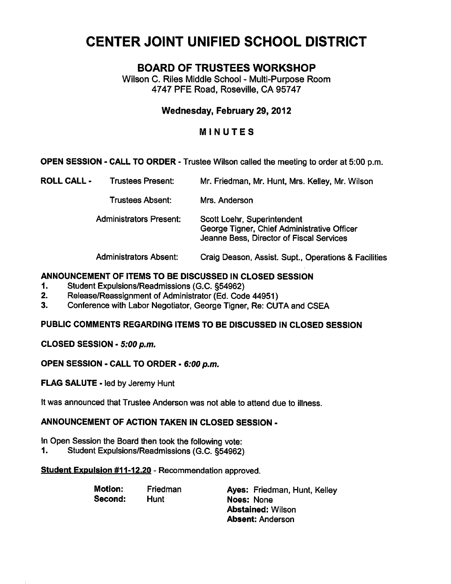# CENTER JOINT UNIFIED SCHOOL DISTRICT

## BOARD OF TRUSTEES WORKSHOP

Wilson C. Riles Middle School - Multi-Purpose Room 4747 PFE Road, Roseville, CA 95747

## Wednesday, February 29, 2012

## MINUTES

OPEN SESSION - CALL TO ORDER - Trustee Wilson called the meeting to order at 5:00 p.m.

ROLL CALL - Trustees Present: Mr. Friedman, Mr. Hunt, Mrs. Kelley, Mr. Wilson

Trustees Absent: Mrs. Anderson

Administrators Present: Scott Loehr, Superintendent

George Tigner, Chief Administrative Officer Jeanne Bess, Director of Fiscal Services

Administrators Absent: Craig Deason, Assist. Supt., Operations & Facilities

## ANNOUNCEMENT OF ITEMS TO BE DISCUSSED IN CLOSED SESSION

- 1. Student Expulsions/Readmissions (G.C. §54962)
- 2. Release/Reassignment of Administrator (Ed. Code 44951)
- 3. Conference with Labor Negotiator, George Tigner, Re: CUTA and CSEA

## PUBLIC COMMENTS REGARDING ITEMS TO BE DISCUSSED IN CLOSED SESSION

CLOSED SESSION - 5:00 p.m.

#### OPEN SESSION - CALL TO ORDER - 6:00 p.m.

FLAG SALUTE - led by Jeremy Hunt

It was announced that Trustee Anderson was not able to attend due to illness.

#### ANNOUNCEMENT OF ACTION TAKEN IN CLOSED SESSION

In Open Session the Board then took the following vote:

1. Student Expulsions/Readmissions (G.C. §54962)

Student Expulsion #11-12.20 - Recommendation approved.

| <b>Motion:</b> | Friedman | Ayes: Friedman, Hunt, Kelley |
|----------------|----------|------------------------------|
| Second:        | Hunt     | Noes: None                   |
|                |          | <b>Abstained: Wilson</b>     |
|                |          | <b>Absent: Anderson</b>      |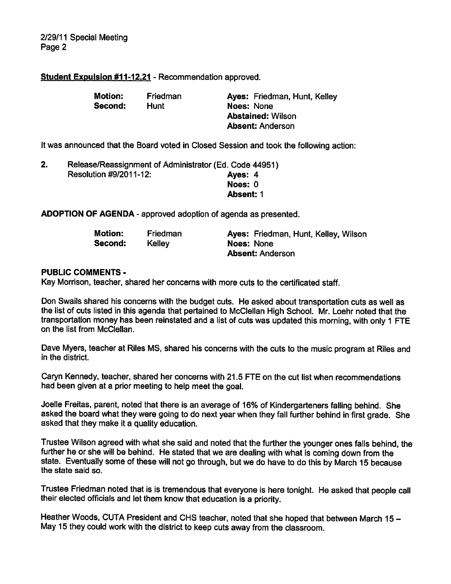2/29/11 Special Meeting Page 2

#### Student Expulsion #11-12.21 - Recommendation approved.

| <b>Motion:</b> | Friedman | Ayes: Friedman, Hunt, Kelley |
|----------------|----------|------------------------------|
| Second:        | Hunt     | Noes: None                   |
|                |          | <b>Abstained: Wilson</b>     |
|                |          | <b>Absent: Anderson</b>      |

It was announced that the Board voted in Closed Session and took the following action:

| 2. | Release/Reassignment of Administrator (Ed. Code 44951) |                  |
|----|--------------------------------------------------------|------------------|
|    | Resolution #9/2011-12:                                 | Ayes: 4          |
|    |                                                        | Noes: 0          |
|    |                                                        | <b>Absent: 1</b> |

ADOPTION OF AGENDA - approved adoption of agenda as presented.

| <b>Motion:</b> | Friedman | Ayes: Friedman, Hunt, Kelley, Wilson |
|----------------|----------|--------------------------------------|
| Second:        | Kelley   | Noes: None                           |
|                |          | <b>Absent: Anderson</b>              |

#### PUBLIC COMMENTS

Kay Morrison, teacher, shared her concerns with more cuts to the certificated staff.

Don Swails shared his concerns with the budget cuts. He asked about transportation cuts as well as the list of cuts listed in this agenda that pertained to McClellan High School. Mr. Loehr noted that the transportation money has been reinstated and a list of cuts was updated this morning, with only 1 FTE on the list from McClellan.

Dave Myers, teacher at Riles MS, shared his concerns with the cuts to the music program at Riles and in the district.

Caryn Kennedy, teacher, shared her concerns with 21.5 FTE on the cut list when recommendations had been given at a prior meeting to help meet the goal.

Joelle Freitas, parent, noted that there is an average of 16% of Kindergarteners falling behind. She asked the board what they were going to do next year when they fall further behind in first grade. She asked that they make it a quality education.

Trustee Wilson agreed with what she said and noted that the further the younger ones falls behind, the further he or she will be behind. He stated that we are dealing with what is coming down from the state. Eventually some of these will not go through, but we do have to do this by March 15 because the state said so.

Trustee Friedman noted that is is tremendous that everyone is here tonight. He asked that people call their elected officials and let them know that education is a priority.

Heather Woods, CUTA President and CHS teacher, noted that she hoped that between March 15 -May 15 they could work with the district to keep cuts away from the classroom.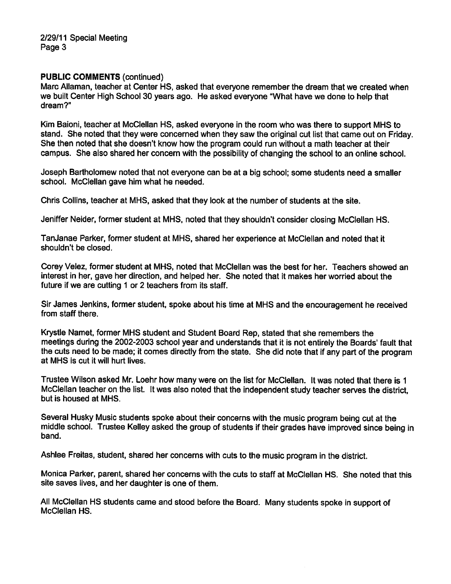2/29/11 Special Meeting Page 3

#### PUBLIC COMMENTS (continued)

Marc Allaman, teacher at Center HS, asked that everyone remember the dream that we created when we built Center High School 30 years ago. He asked everyone "What have we done to help that dream?"

Kim Baioni, teacher at McClellan HS, asked everyone in the room who was there to support MHS to stand. She noted that they were concerned when they saw the original cut list that came out on Friday. She then noted that she doesn't know how the program could run without a math teacher at their campus. She also shared her concern with the possibility of changing the school to an online school.

Joseph Bartholomew noted that not everyone can be at a big school; some students need a smaller school. McClellan gave him what he needed.

Chris Collins, teacher at MHS, asked that they look at the number of students at the site.

Jeniffer Neider, former student at MHS, noted that they shouldn't consider closing McClellan HS.

TanJanae Parker, former student at MHS, shared her experience at McClellan and noted that it shouldn't be closed.

Corey Velez, former student at MHS, noted that McClellan was the best for her. Teachers showed an interest in her, gave her direction, and helped her. She noted that it makes her worried about the future if we are cutting 1 or 2 teachers from its staff.

Sir James Jenkins, former student, spoke about his time at MHS and the encouragement he received from staff there.

Krystle Namet, former MHS student and Student Board Rep, stated that she remembers the meetings during the 2002-2003 school year and understands that it is not entirely the Boards' fault that the cuts need to be made; it comes directly from the state. She did note that if any part of the program at MHS is cut it will hurt lives.

Trustee Wilson asked Mr. Loehr how many were on the list for McClellan. It was noted that there is 1 McClellan teacher on the list. It was also noted that the independent study teacher serves the district, but is housed at MHS.

Several Husky Music students spoke about their concerns with the music program being cut at the middle school. Trustee Kelley asked the group of students if their grades have improved since being in band.

Ashlee Freitas, student, shared her concerns with cuts to the music program in the district.

Monica Parker, parent, shared her concerns with the cuts to staff at McClellan HS. She noted that this site saves lives, and her daughter is one of them.

All McClellan HS students came and stood before the Board. Many students spoke in support of McClellan HS.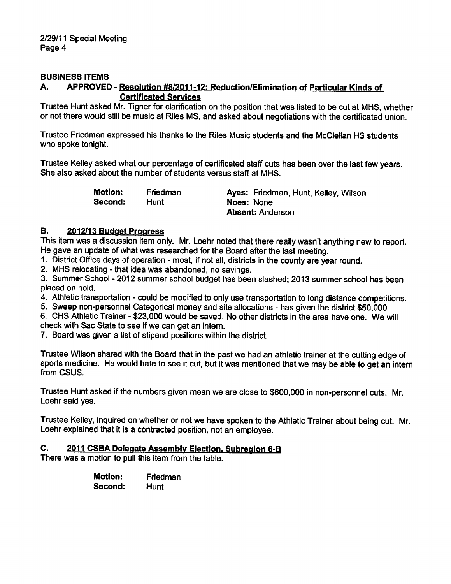#### BUSINESS ITEMS

### A. APPROVED - Resolution #8/2011-12: Reduction/Elimination of Particular Kinds of Certificated Services

Trustee Hunt asked Mr. Tigner for clarification on the position that was listed to be cut at MHS, whether or not there would still be music at Riles MS, and asked about negotiations with the certificated union.

Trustee Friedman expressed his thanks to the Riles Music students and the McClellan HS students who spoke tonight.

Trustee Kelley asked what our percentage of certificated staff cuts has been over the last few years. She also asked about the number of students versus staff at MHS.

> Motion: Friedman Ayes: Friedman, Hunt, Kelley, Wilson Second: Hunt Noes: None Absent: Anderson

#### B. 2012/13 Budget Progress

This item was a discussion item only. Mr. Loehr noted that there really wasn't anything new to report. He gave an update of what was researched for the Board after the last meeting.

- 1. District Office days of operation most, if not all, districts in the county are year round.
- 2. MHS relocating that idea was abandoned, no savings.

3. Summer School - 2012 summer school budget has been slashed; 2013 summer school has been placed on hold.

4. Athletic transportation - could be modified to only use transportation to long distance competitions.

5. Sweep non-personnel Categorical money and site allocations - has given the district \$50,000

6. CHS Athletic Trainer - \$23,000 would be saved. No other districts in the area have one. We will check with Sac State to see if we can get an intern.

7. Board was given a list of stipend positions within the district.

Trustee Wilson shared with the Board that in the past we had an athletic trainer at the cutting edge of sports medicine. He would hate to see it cut, but it was mentioned that we may be able to get an intern from CSUS.

Trustee Hunt asked if the numbers given mean we are close to \$600,000 in non-personnel cuts. Mr. Loehr said yes.

Trustee Kelley, inquired on whether or not we have spoken to the Athletic Trainer about being cut. Mr. Loehr explained that it is a contracted position, not an employee.

#### C. 2011 CSBA Delegate Assembly Election. Subreaion 6-B

There was a motion to pull this item from the table.

Motion: Friedman Second: Hunt